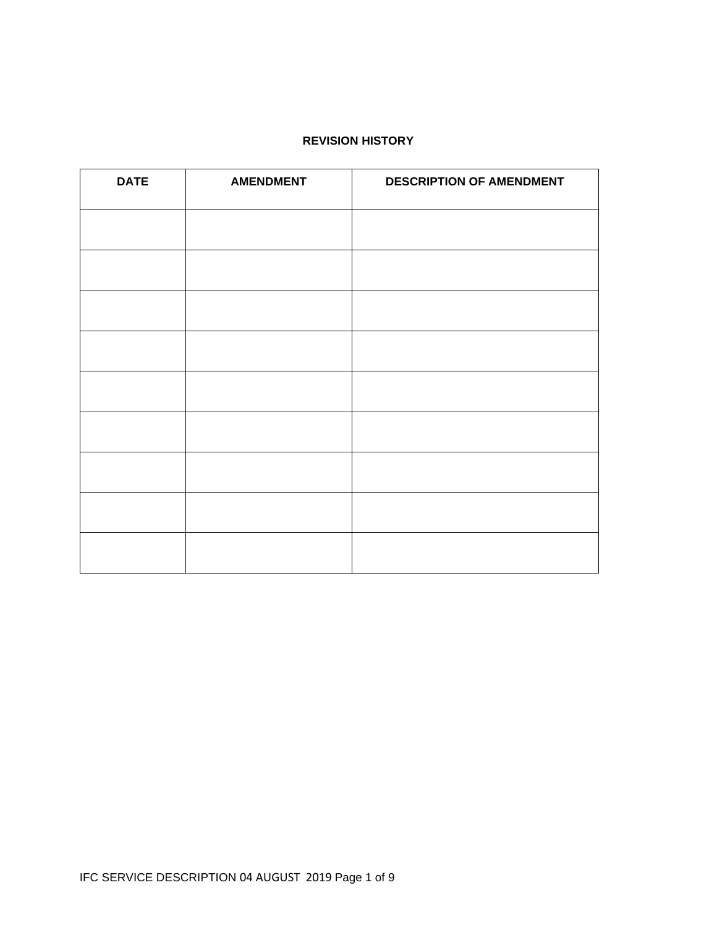#### **REVISION HISTORY**

| <b>DATE</b> | <b>AMENDMENT</b> | <b>DESCRIPTION OF AMENDMENT</b> |  |
|-------------|------------------|---------------------------------|--|
|             |                  |                                 |  |
|             |                  |                                 |  |
|             |                  |                                 |  |
|             |                  |                                 |  |
|             |                  |                                 |  |
|             |                  |                                 |  |
|             |                  |                                 |  |
|             |                  |                                 |  |
|             |                  |                                 |  |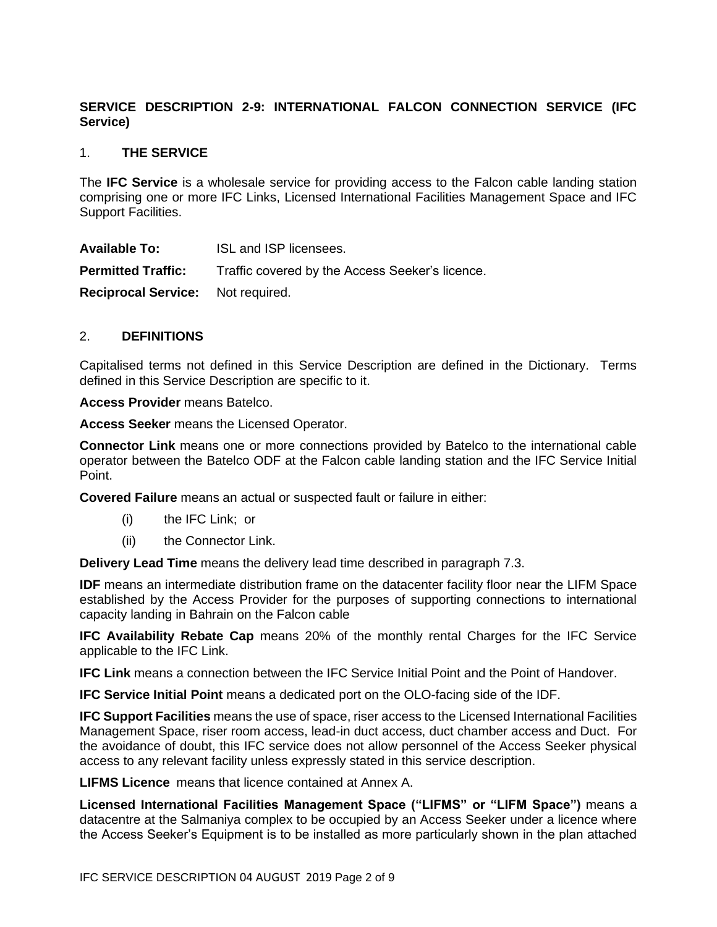# **SERVICE DESCRIPTION 2-9: INTERNATIONAL FALCON CONNECTION SERVICE (IFC Service)**

## 1. **THE SERVICE**

The **IFC Service** is a wholesale service for providing access to the Falcon cable landing station comprising one or more IFC Links, Licensed International Facilities Management Space and IFC Support Facilities.

**Available To:** ISL and ISP licensees. **Permitted Traffic:** Traffic covered by the Access Seeker's licence. **Reciprocal Service:** Not required.

# 2. **DEFINITIONS**

Capitalised terms not defined in this Service Description are defined in the Dictionary. Terms defined in this Service Description are specific to it.

**Access Provider** means Batelco.

**Access Seeker** means the Licensed Operator.

**Connector Link** means one or more connections provided by Batelco to the international cable operator between the Batelco ODF at the Falcon cable landing station and the IFC Service Initial Point.

**Covered Failure** means an actual or suspected fault or failure in either:

- (i) the IFC Link; or
- (ii) the Connector Link.

**Delivery Lead Time** means the delivery lead time described in paragraph 7.3.

**IDF** means an intermediate distribution frame on the datacenter facility floor near the LIFM Space established by the Access Provider for the purposes of supporting connections to international capacity landing in Bahrain on the Falcon cable

**IFC Availability Rebate Cap** means 20% of the monthly rental Charges for the IFC Service applicable to the IFC Link.

**IFC Link** means a connection between the IFC Service Initial Point and the Point of Handover.

**IFC Service Initial Point** means a dedicated port on the OLO-facing side of the IDF.

**IFC Support Facilities** means the use of space, riser access to the Licensed International Facilities Management Space, riser room access, lead-in duct access, duct chamber access and Duct. For the avoidance of doubt, this IFC service does not allow personnel of the Access Seeker physical access to any relevant facility unless expressly stated in this service description.

**LIFMS Licence** means that licence contained at Annex A.

**Licensed International Facilities Management Space ("LIFMS" or "LIFM Space")** means a datacentre at the Salmaniya complex to be occupied by an Access Seeker under a licence where the Access Seeker's Equipment is to be installed as more particularly shown in the plan attached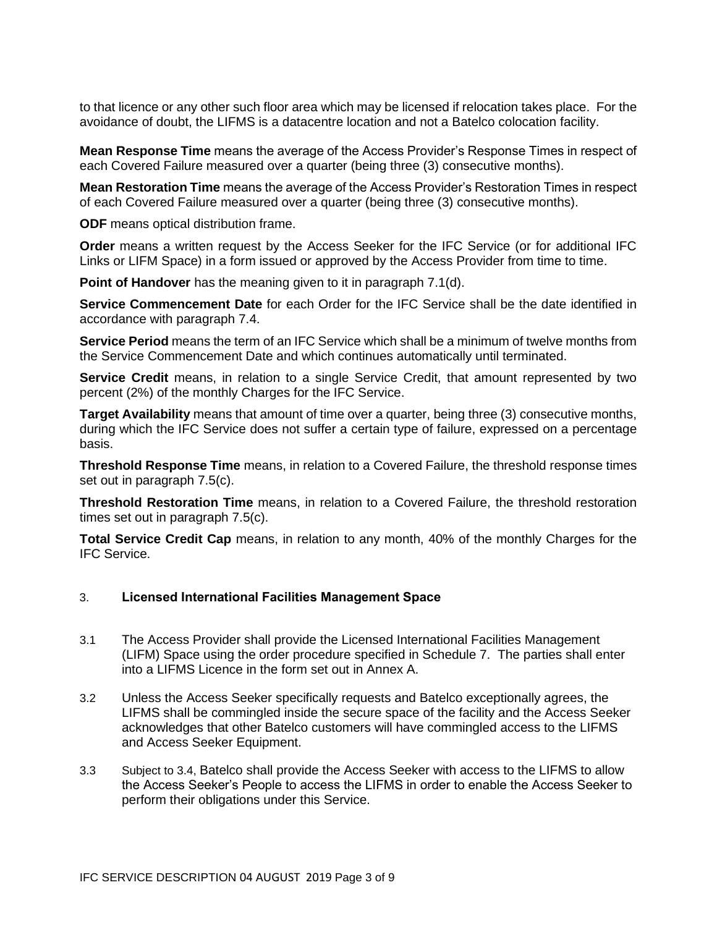to that licence or any other such floor area which may be licensed if relocation takes place. For the avoidance of doubt, the LIFMS is a datacentre location and not a Batelco colocation facility.

**Mean Response Time** means the average of the Access Provider's Response Times in respect of each Covered Failure measured over a quarter (being three (3) consecutive months).

**Mean Restoration Time** means the average of the Access Provider's Restoration Times in respect of each Covered Failure measured over a quarter (being three (3) consecutive months).

**ODF** means optical distribution frame.

**Order** means a written request by the Access Seeker for the IFC Service (or for additional IFC Links or LIFM Space) in a form issued or approved by the Access Provider from time to time.

**Point of Handover** has the meaning given to it in paragraph 7.1(d).

**Service Commencement Date** for each Order for the IFC Service shall be the date identified in accordance with paragraph 7.4.

**Service Period** means the term of an IFC Service which shall be a minimum of twelve months from the Service Commencement Date and which continues automatically until terminated.

**Service Credit** means, in relation to a single Service Credit, that amount represented by two percent (2%) of the monthly Charges for the IFC Service.

**Target Availability** means that amount of time over a quarter, being three (3) consecutive months, during which the IFC Service does not suffer a certain type of failure, expressed on a percentage basis.

**Threshold Response Time** means, in relation to a Covered Failure, the threshold response times set out in paragraph 7.5(c).

**Threshold Restoration Time** means, in relation to a Covered Failure, the threshold restoration times set out in paragraph 7.5(c).

**Total Service Credit Cap** means, in relation to any month, 40% of the monthly Charges for the IFC Service.

# 3. **Licensed International Facilities Management Space**

- 3.1 The Access Provider shall provide the Licensed International Facilities Management (LIFM) Space using the order procedure specified in Schedule 7. The parties shall enter into a LIFMS Licence in the form set out in Annex A.
- 3.2 Unless the Access Seeker specifically requests and Batelco exceptionally agrees, the LIFMS shall be commingled inside the secure space of the facility and the Access Seeker acknowledges that other Batelco customers will have commingled access to the LIFMS and Access Seeker Equipment.
- 3.3 Subject to 3.4, Batelco shall provide the Access Seeker with access to the LIFMS to allow the Access Seeker's People to access the LIFMS in order to enable the Access Seeker to perform their obligations under this Service.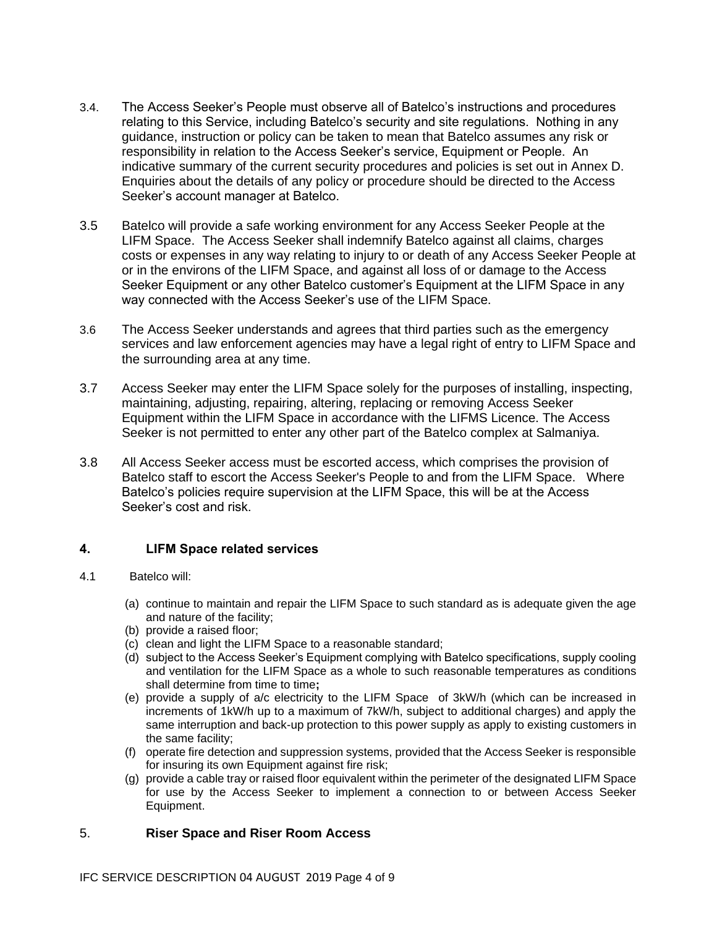- 3.4. The Access Seeker's People must observe all of Batelco's instructions and procedures relating to this Service, including Batelco's security and site regulations. Nothing in any guidance, instruction or policy can be taken to mean that Batelco assumes any risk or responsibility in relation to the Access Seeker's service, Equipment or People. An indicative summary of the current security procedures and policies is set out in Annex D. Enquiries about the details of any policy or procedure should be directed to the Access Seeker's account manager at Batelco.
- 3.5 Batelco will provide a safe working environment for any Access Seeker People at the LIFM Space. The Access Seeker shall indemnify Batelco against all claims, charges costs or expenses in any way relating to injury to or death of any Access Seeker People at or in the environs of the LIFM Space, and against all loss of or damage to the Access Seeker Equipment or any other Batelco customer's Equipment at the LIFM Space in any way connected with the Access Seeker's use of the LIFM Space.
- 3.6 The Access Seeker understands and agrees that third parties such as the emergency services and law enforcement agencies may have a legal right of entry to LIFM Space and the surrounding area at any time.
- 3.7 Access Seeker may enter the LIFM Space solely for the purposes of installing, inspecting, maintaining, adjusting, repairing, altering, replacing or removing Access Seeker Equipment within the LIFM Space in accordance with the LIFMS Licence. The Access Seeker is not permitted to enter any other part of the Batelco complex at Salmaniya.
- 3.8 All Access Seeker access must be escorted access, which comprises the provision of Batelco staff to escort the Access Seeker's People to and from the LIFM Space. Where Batelco's policies require supervision at the LIFM Space, this will be at the Access Seeker's cost and risk.

# **4. LIFM Space related services**

- 4.1 Batelco will:
	- (a) continue to maintain and repair the LIFM Space to such standard as is adequate given the age and nature of the facility;
	- (b) provide a raised floor;
	- (c) clean and light the LIFM Space to a reasonable standard;
	- (d) subject to the Access Seeker's Equipment complying with Batelco specifications, supply cooling and ventilation for the LIFM Space as a whole to such reasonable temperatures as conditions shall determine from time to time**;**
	- (e) provide a supply of a/c electricity to the LIFM Space of 3kW/h (which can be increased in increments of 1kW/h up to a maximum of 7kW/h, subject to additional charges) and apply the same interruption and back-up protection to this power supply as apply to existing customers in the same facility;
	- (f) operate fire detection and suppression systems, provided that the Access Seeker is responsible for insuring its own Equipment against fire risk;
	- (g) provide a cable tray or raised floor equivalent within the perimeter of the designated LIFM Space for use by the Access Seeker to implement a connection to or between Access Seeker Equipment.

#### 5. **Riser Space and Riser Room Access**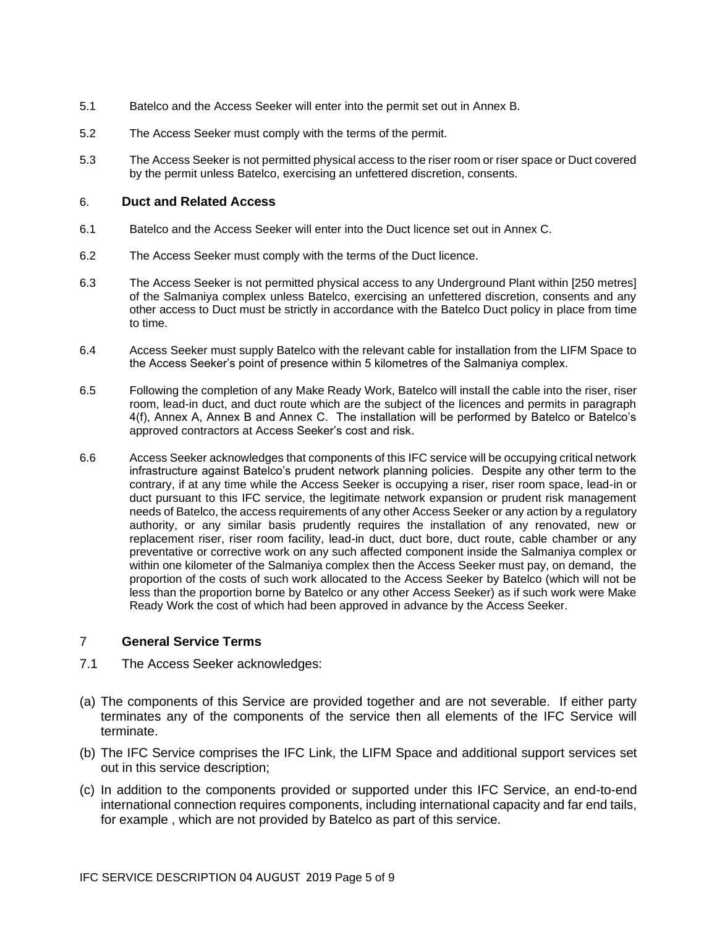- 5.1 Batelco and the Access Seeker will enter into the permit set out in Annex B.
- 5.2 The Access Seeker must comply with the terms of the permit.
- 5.3 The Access Seeker is not permitted physical access to the riser room or riser space or Duct covered by the permit unless Batelco, exercising an unfettered discretion, consents.

#### 6. **Duct and Related Access**

- 6.1 Batelco and the Access Seeker will enter into the Duct licence set out in Annex C.
- 6.2 The Access Seeker must comply with the terms of the Duct licence.
- 6.3 The Access Seeker is not permitted physical access to any Underground Plant within [250 metres] of the Salmaniya complex unless Batelco, exercising an unfettered discretion, consents and any other access to Duct must be strictly in accordance with the Batelco Duct policy in place from time to time.
- 6.4 Access Seeker must supply Batelco with the relevant cable for installation from the LIFM Space to the Access Seeker's point of presence within 5 kilometres of the Salmaniya complex.
- 6.5 Following the completion of any Make Ready Work, Batelco will install the cable into the riser, riser room, lead-in duct, and duct route which are the subject of the licences and permits in paragraph 4(f), Annex A, Annex B and Annex C. The installation will be performed by Batelco or Batelco's approved contractors at Access Seeker's cost and risk.
- 6.6 Access Seeker acknowledges that components of this IFC service will be occupying critical network infrastructure against Batelco's prudent network planning policies. Despite any other term to the contrary, if at any time while the Access Seeker is occupying a riser, riser room space, lead-in or duct pursuant to this IFC service, the legitimate network expansion or prudent risk management needs of Batelco, the access requirements of any other Access Seeker or any action by a regulatory authority, or any similar basis prudently requires the installation of any renovated, new or replacement riser, riser room facility, lead-in duct, duct bore, duct route, cable chamber or any preventative or corrective work on any such affected component inside the Salmaniya complex or within one kilometer of the Salmaniya complex then the Access Seeker must pay, on demand, the proportion of the costs of such work allocated to the Access Seeker by Batelco (which will not be less than the proportion borne by Batelco or any other Access Seeker) as if such work were Make Ready Work the cost of which had been approved in advance by the Access Seeker.

#### 7 **General Service Terms**

- 7.1 The Access Seeker acknowledges:
- (a) The components of this Service are provided together and are not severable. If either party terminates any of the components of the service then all elements of the IFC Service will terminate.
- (b) The IFC Service comprises the IFC Link, the LIFM Space and additional support services set out in this service description;
- (c) In addition to the components provided or supported under this IFC Service, an end-to-end international connection requires components, including international capacity and far end tails, for example , which are not provided by Batelco as part of this service.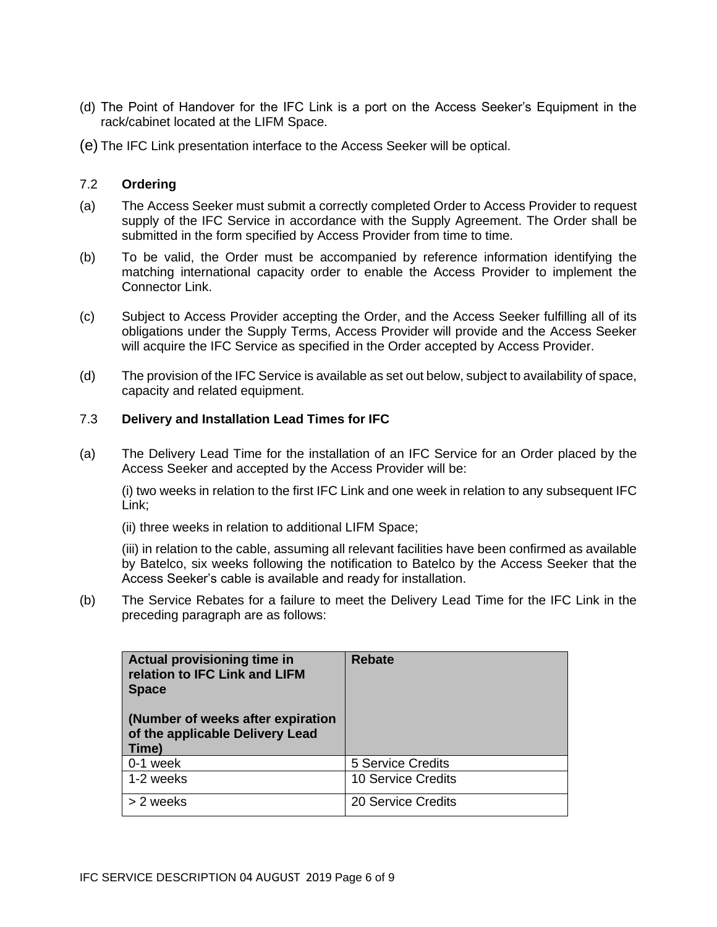- (d) The Point of Handover for the IFC Link is a port on the Access Seeker's Equipment in the rack/cabinet located at the LIFM Space.
- (e) The IFC Link presentation interface to the Access Seeker will be optical.

## 7.2 **Ordering**

- (a) The Access Seeker must submit a correctly completed Order to Access Provider to request supply of the IFC Service in accordance with the Supply Agreement. The Order shall be submitted in the form specified by Access Provider from time to time.
- (b) To be valid, the Order must be accompanied by reference information identifying the matching international capacity order to enable the Access Provider to implement the Connector Link.
- (c) Subject to Access Provider accepting the Order, and the Access Seeker fulfilling all of its obligations under the Supply Terms, Access Provider will provide and the Access Seeker will acquire the IFC Service as specified in the Order accepted by Access Provider.
- (d) The provision of the IFC Service is available as set out below, subject to availability of space, capacity and related equipment.

## 7.3 **Delivery and Installation Lead Times for IFC**

(a) The Delivery Lead Time for the installation of an IFC Service for an Order placed by the Access Seeker and accepted by the Access Provider will be:

(i) two weeks in relation to the first IFC Link and one week in relation to any subsequent IFC Link;

(ii) three weeks in relation to additional LIFM Space;

(iii) in relation to the cable, assuming all relevant facilities have been confirmed as available by Batelco, six weeks following the notification to Batelco by the Access Seeker that the Access Seeker's cable is available and ready for installation.

(b) The Service Rebates for a failure to meet the Delivery Lead Time for the IFC Link in the preceding paragraph are as follows:

| Actual provisioning time in<br>relation to IFC Link and LIFM<br><b>Space</b><br>(Number of weeks after expiration<br>of the applicable Delivery Lead<br>Time) | <b>Rebate</b>            |
|---------------------------------------------------------------------------------------------------------------------------------------------------------------|--------------------------|
| 0-1 week                                                                                                                                                      | <b>5 Service Credits</b> |
| 1-2 weeks                                                                                                                                                     | 10 Service Credits       |
| > 2 weeks                                                                                                                                                     | 20 Service Credits       |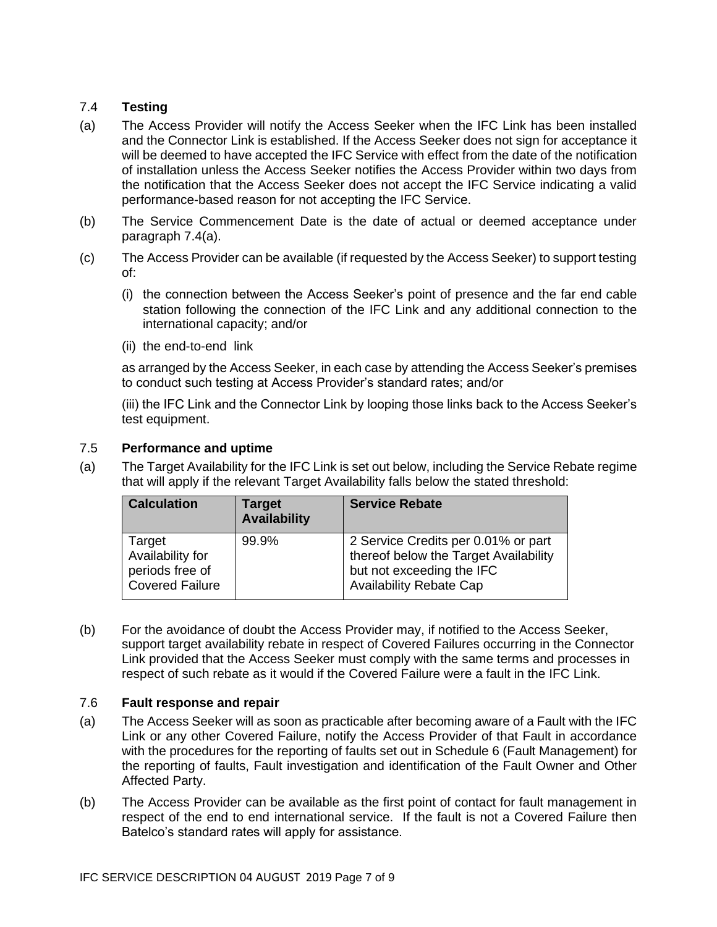# 7.4 **Testing**

- (a) The Access Provider will notify the Access Seeker when the IFC Link has been installed and the Connector Link is established. If the Access Seeker does not sign for acceptance it will be deemed to have accepted the IFC Service with effect from the date of the notification of installation unless the Access Seeker notifies the Access Provider within two days from the notification that the Access Seeker does not accept the IFC Service indicating a valid performance-based reason for not accepting the IFC Service.
- (b) The Service Commencement Date is the date of actual or deemed acceptance under paragraph 7.4(a).
- (c) The Access Provider can be available (if requested by the Access Seeker) to support testing of:
	- (i) the connection between the Access Seeker's point of presence and the far end cable station following the connection of the IFC Link and any additional connection to the international capacity; and/or
	- (ii) the end-to-end link

as arranged by the Access Seeker, in each case by attending the Access Seeker's premises to conduct such testing at Access Provider's standard rates; and/or

(iii) the IFC Link and the Connector Link by looping those links back to the Access Seeker's test equipment.

## 7.5 **Performance and uptime**

(a) The Target Availability for the IFC Link is set out below, including the Service Rebate regime that will apply if the relevant Target Availability falls below the stated threshold:

| <b>Calculation</b>                                                      | <b>Target</b><br><b>Availability</b> | <b>Service Rebate</b>                                                                                                                       |
|-------------------------------------------------------------------------|--------------------------------------|---------------------------------------------------------------------------------------------------------------------------------------------|
| Target<br>Availability for<br>periods free of<br><b>Covered Failure</b> | 99.9%                                | 2 Service Credits per 0.01% or part<br>thereof below the Target Availability<br>but not exceeding the IFC<br><b>Availability Rebate Cap</b> |

(b) For the avoidance of doubt the Access Provider may, if notified to the Access Seeker, support target availability rebate in respect of Covered Failures occurring in the Connector Link provided that the Access Seeker must comply with the same terms and processes in respect of such rebate as it would if the Covered Failure were a fault in the IFC Link.

# 7.6 **Fault response and repair**

- (a) The Access Seeker will as soon as practicable after becoming aware of a Fault with the IFC Link or any other Covered Failure, notify the Access Provider of that Fault in accordance with the procedures for the reporting of faults set out in Schedule 6 (Fault Management) for the reporting of faults, Fault investigation and identification of the Fault Owner and Other Affected Party.
- (b) The Access Provider can be available as the first point of contact for fault management in respect of the end to end international service. If the fault is not a Covered Failure then Batelco's standard rates will apply for assistance.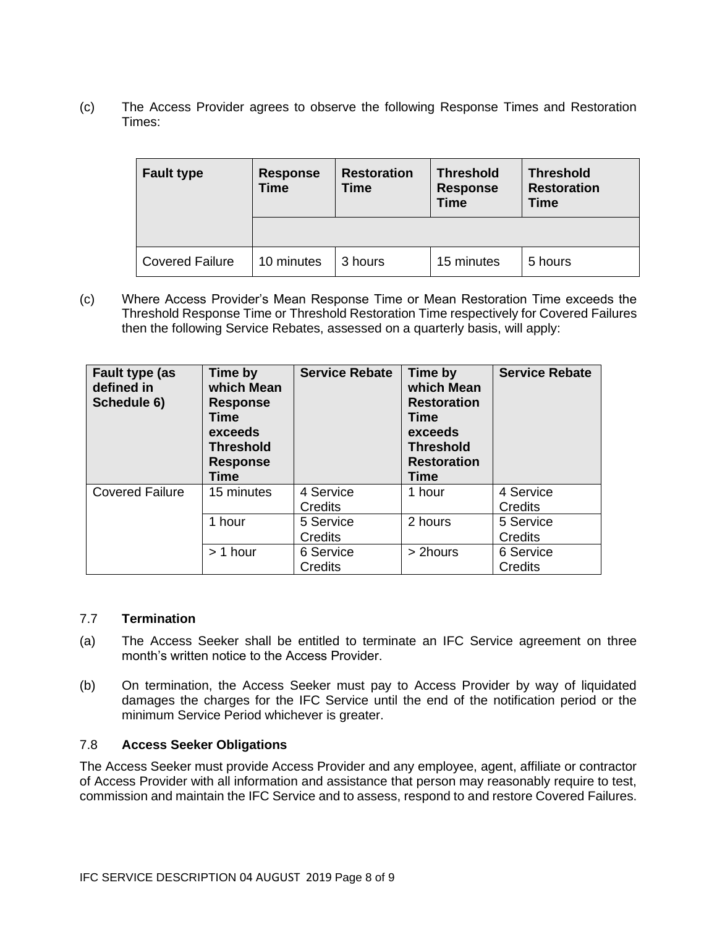(c) The Access Provider agrees to observe the following Response Times and Restoration Times:

| <b>Fault type</b>      | <b>Response</b><br><b>Time</b> | <b>Restoration</b><br><b>Time</b> | <b>Threshold</b><br><b>Response</b><br><b>Time</b> | <b>Threshold</b><br><b>Restoration</b><br><b>Time</b> |
|------------------------|--------------------------------|-----------------------------------|----------------------------------------------------|-------------------------------------------------------|
|                        |                                |                                   |                                                    |                                                       |
| <b>Covered Failure</b> | 10 minutes                     | 3 hours                           | 15 minutes                                         | 5 hours                                               |

(c) Where Access Provider's Mean Response Time or Mean Restoration Time exceeds the Threshold Response Time or Threshold Restoration Time respectively for Covered Failures then the following Service Rebates, assessed on a quarterly basis, will apply:

| Fault type (as<br>defined in<br>Schedule 6) | Time by<br>which Mean<br><b>Response</b><br>Time<br>exceeds<br><b>Threshold</b><br><b>Response</b><br>Time | <b>Service Rebate</b>       | Time by<br>which Mean<br><b>Restoration</b><br>Time<br>exceeds<br><b>Threshold</b><br><b>Restoration</b><br><b>Time</b> | <b>Service Rebate</b> |
|---------------------------------------------|------------------------------------------------------------------------------------------------------------|-----------------------------|-------------------------------------------------------------------------------------------------------------------------|-----------------------|
| <b>Covered Failure</b>                      | 15 minutes                                                                                                 | 4 Service<br>Credits        | 1 hour                                                                                                                  | 4 Service<br>Credits  |
|                                             | 1 hour                                                                                                     | 5 Service<br>Credits        | 2 hours                                                                                                                 | 5 Service<br>Credits  |
|                                             | $> 1$ hour                                                                                                 | 6 Service<br><b>Credits</b> | > 2hours                                                                                                                | 6 Service<br>Credits  |

#### 7.7 **Termination**

- (a) The Access Seeker shall be entitled to terminate an IFC Service agreement on three month's written notice to the Access Provider.
- (b) On termination, the Access Seeker must pay to Access Provider by way of liquidated damages the charges for the IFC Service until the end of the notification period or the minimum Service Period whichever is greater.

# 7.8 **Access Seeker Obligations**

The Access Seeker must provide Access Provider and any employee, agent, affiliate or contractor of Access Provider with all information and assistance that person may reasonably require to test, commission and maintain the IFC Service and to assess, respond to and restore Covered Failures.